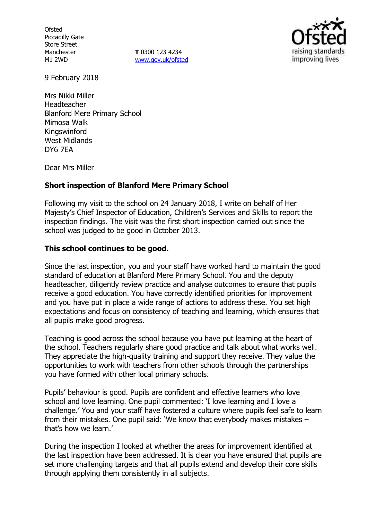**Ofsted** Piccadilly Gate Store Street Manchester M1 2WD

**T** 0300 123 4234 www.gov.uk/ofsted



9 February 2018

Mrs Nikki Miller Headteacher Blanford Mere Primary School Mimosa Walk Kingswinford West Midlands DY6 7EA

Dear Mrs Miller

## **Short inspection of Blanford Mere Primary School**

Following my visit to the school on 24 January 2018, I write on behalf of Her Majesty's Chief Inspector of Education, Children's Services and Skills to report the inspection findings. The visit was the first short inspection carried out since the school was judged to be good in October 2013.

## **This school continues to be good.**

Since the last inspection, you and your staff have worked hard to maintain the good standard of education at Blanford Mere Primary School. You and the deputy headteacher, diligently review practice and analyse outcomes to ensure that pupils receive a good education. You have correctly identified priorities for improvement and you have put in place a wide range of actions to address these. You set high expectations and focus on consistency of teaching and learning, which ensures that all pupils make good progress.

Teaching is good across the school because you have put learning at the heart of the school. Teachers regularly share good practice and talk about what works well. They appreciate the high-quality training and support they receive. They value the opportunities to work with teachers from other schools through the partnerships you have formed with other local primary schools.

Pupils' behaviour is good. Pupils are confident and effective learners who love school and love learning. One pupil commented: 'I love learning and I love a challenge.' You and your staff have fostered a culture where pupils feel safe to learn from their mistakes. One pupil said: 'We know that everybody makes mistakes – that's how we learn.'

During the inspection I looked at whether the areas for improvement identified at the last inspection have been addressed. It is clear you have ensured that pupils are set more challenging targets and that all pupils extend and develop their core skills through applying them consistently in all subjects.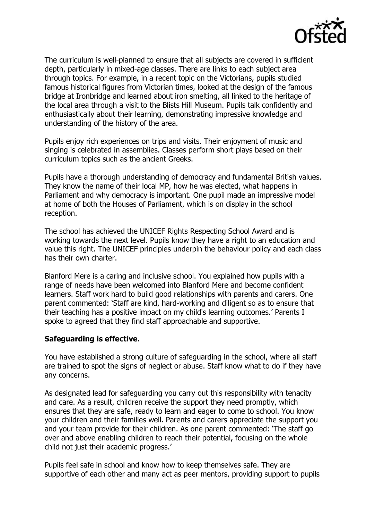

The curriculum is well-planned to ensure that all subjects are covered in sufficient depth, particularly in mixed-age classes. There are links to each subject area through topics. For example, in a recent topic on the Victorians, pupils studied famous historical figures from Victorian times, looked at the design of the famous bridge at Ironbridge and learned about iron smelting, all linked to the heritage of the local area through a visit to the Blists Hill Museum. Pupils talk confidently and enthusiastically about their learning, demonstrating impressive knowledge and understanding of the history of the area.

Pupils enjoy rich experiences on trips and visits. Their enjoyment of music and singing is celebrated in assemblies. Classes perform short plays based on their curriculum topics such as the ancient Greeks.

Pupils have a thorough understanding of democracy and fundamental British values. They know the name of their local MP, how he was elected, what happens in Parliament and why democracy is important. One pupil made an impressive model at home of both the Houses of Parliament, which is on display in the school reception.

The school has achieved the UNICEF Rights Respecting School Award and is working towards the next level. Pupils know they have a right to an education and value this right. The UNICEF principles underpin the behaviour policy and each class has their own charter.

Blanford Mere is a caring and inclusive school. You explained how pupils with a range of needs have been welcomed into Blanford Mere and become confident learners. Staff work hard to build good relationships with parents and carers. One parent commented: 'Staff are kind, hard-working and diligent so as to ensure that their teaching has a positive impact on my child's learning outcomes.' Parents I spoke to agreed that they find staff approachable and supportive.

## **Safeguarding is effective.**

You have established a strong culture of safeguarding in the school, where all staff are trained to spot the signs of neglect or abuse. Staff know what to do if they have any concerns.

As designated lead for safeguarding you carry out this responsibility with tenacity and care. As a result, children receive the support they need promptly, which ensures that they are safe, ready to learn and eager to come to school. You know your children and their families well. Parents and carers appreciate the support you and your team provide for their children. As one parent commented: 'The staff go over and above enabling children to reach their potential, focusing on the whole child not just their academic progress.'

Pupils feel safe in school and know how to keep themselves safe. They are supportive of each other and many act as peer mentors, providing support to pupils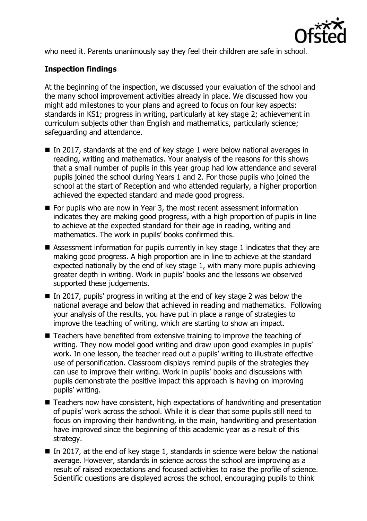

who need it. Parents unanimously say they feel their children are safe in school.

# **Inspection findings**

At the beginning of the inspection, we discussed your evaluation of the school and the many school improvement activities already in place. We discussed how you might add milestones to your plans and agreed to focus on four key aspects: standards in KS1; progress in writing, particularly at key stage 2; achievement in curriculum subjects other than English and mathematics, particularly science; safeguarding and attendance.

- In 2017, standards at the end of key stage 1 were below national averages in reading, writing and mathematics. Your analysis of the reasons for this shows that a small number of pupils in this year group had low attendance and several pupils joined the school during Years 1 and 2. For those pupils who joined the school at the start of Reception and who attended regularly, a higher proportion achieved the expected standard and made good progress.
- For pupils who are now in Year 3, the most recent assessment information indicates they are making good progress, with a high proportion of pupils in line to achieve at the expected standard for their age in reading, writing and mathematics. The work in pupils' books confirmed this.
- Assessment information for pupils currently in key stage 1 indicates that they are making good progress. A high proportion are in line to achieve at the standard expected nationally by the end of key stage 1, with many more pupils achieving greater depth in writing. Work in pupils' books and the lessons we observed supported these judgements.
- In 2017, pupils' progress in writing at the end of key stage 2 was below the national average and below that achieved in reading and mathematics. Following your analysis of the results, you have put in place a range of strategies to improve the teaching of writing, which are starting to show an impact.
- Teachers have benefited from extensive training to improve the teaching of writing. They now model good writing and draw upon good examples in pupils' work. In one lesson, the teacher read out a pupils' writing to illustrate effective use of personification. Classroom displays remind pupils of the strategies they can use to improve their writing. Work in pupils' books and discussions with pupils demonstrate the positive impact this approach is having on improving pupils' writing.
- Teachers now have consistent, high expectations of handwriting and presentation of pupils' work across the school. While it is clear that some pupils still need to focus on improving their handwriting, in the main, handwriting and presentation have improved since the beginning of this academic year as a result of this strategy.
- In 2017, at the end of key stage 1, standards in science were below the national average. However, standards in science across the school are improving as a result of raised expectations and focused activities to raise the profile of science. Scientific questions are displayed across the school, encouraging pupils to think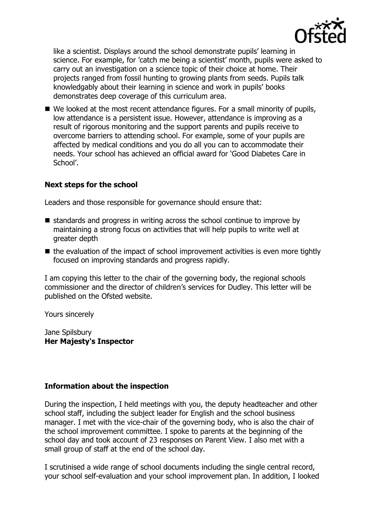

like a scientist. Displays around the school demonstrate pupils' learning in science. For example, for 'catch me being a scientist' month, pupils were asked to carry out an investigation on a science topic of their choice at home. Their projects ranged from fossil hunting to growing plants from seeds. Pupils talk knowledgably about their learning in science and work in pupils' books demonstrates deep coverage of this curriculum area.

■ We looked at the most recent attendance figures. For a small minority of pupils, low attendance is a persistent issue. However, attendance is improving as a result of rigorous monitoring and the support parents and pupils receive to overcome barriers to attending school. For example, some of your pupils are affected by medical conditions and you do all you can to accommodate their needs. Your school has achieved an official award for 'Good Diabetes Care in School'.

## **Next steps for the school**

Leaders and those responsible for governance should ensure that:

- $\blacksquare$  standards and progress in writing across the school continue to improve by maintaining a strong focus on activities that will help pupils to write well at greater depth
- $\blacksquare$  the evaluation of the impact of school improvement activities is even more tightly focused on improving standards and progress rapidly.

I am copying this letter to the chair of the governing body, the regional schools commissioner and the director of children's services for Dudley. This letter will be published on the Ofsted website.

Yours sincerely

Jane Spilsbury **Her Majesty's Inspector**

## **Information about the inspection**

During the inspection, I held meetings with you, the deputy headteacher and other school staff, including the subject leader for English and the school business manager. I met with the vice-chair of the governing body, who is also the chair of the school improvement committee. I spoke to parents at the beginning of the school day and took account of 23 responses on Parent View. I also met with a small group of staff at the end of the school day.

I scrutinised a wide range of school documents including the single central record, your school self-evaluation and your school improvement plan. In addition, I looked